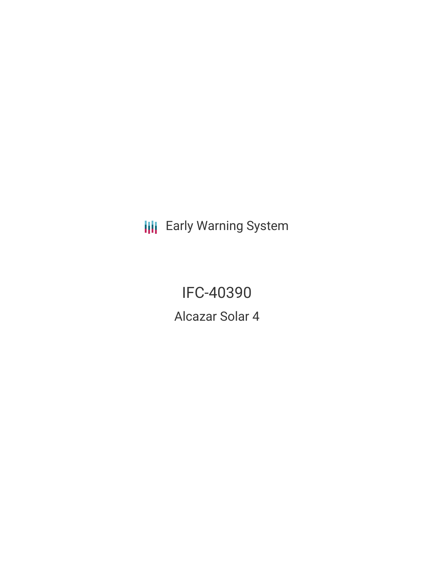**III** Early Warning System

IFC-40390 Alcazar Solar 4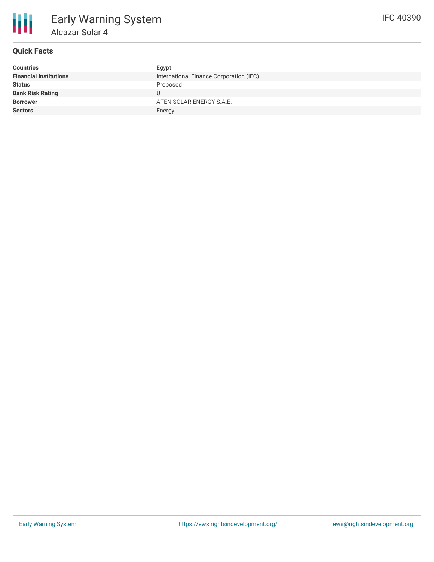

# **Quick Facts**

| <b>Countries</b>              | Egypt                                   |
|-------------------------------|-----------------------------------------|
| <b>Financial Institutions</b> | International Finance Corporation (IFC) |
| <b>Status</b>                 | Proposed                                |
| <b>Bank Risk Rating</b>       |                                         |
| <b>Borrower</b>               | ATEN SOLAR ENERGY S.A.E.                |
| <b>Sectors</b>                | Energy                                  |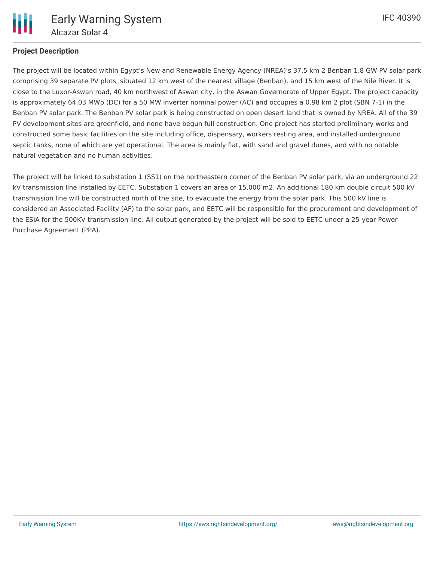

## **Project Description**

The project will be located within Egypt's New and Renewable Energy Agency (NREA)'s 37.5 km 2 Benban 1.8 GW PV solar park comprising 39 separate PV plots, situated 12 km west of the nearest village (Benban), and 15 km west of the Nile River. It is close to the Luxor-Aswan road, 40 km northwest of Aswan city, in the Aswan Governorate of Upper Egypt. The project capacity is approximately 64.03 MWp (DC) for a 50 MW inverter nominal power (AC) and occupies a 0.98 km 2 plot (SBN 7-1) in the Benban PV solar park. The Benban PV solar park is being constructed on open desert land that is owned by NREA. All of the 39 PV development sites are greenfield, and none have begun full construction. One project has started preliminary works and constructed some basic facilities on the site including office, dispensary, workers resting area, and installed underground septic tanks, none of which are yet operational. The area is mainly flat, with sand and gravel dunes, and with no notable natural vegetation and no human activities.

The project will be linked to substation 1 (SS1) on the northeastern corner of the Benban PV solar park, via an underground 22 kV transmission line installed by EETC. Substation 1 covers an area of 15,000 m2. An additional 180 km double circuit 500 kV transmission line will be constructed north of the site, to evacuate the energy from the solar park. This 500 kV line is considered an Associated Facility (AF) to the solar park, and EETC will be responsible for the procurement and development of the ESIA for the 500KV transmission line. All output generated by the project will be sold to EETC under a 25-year Power Purchase Agreement (PPA).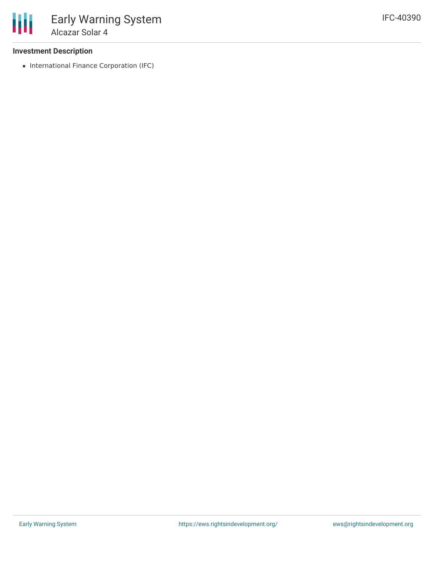### **Investment Description**

• International Finance Corporation (IFC)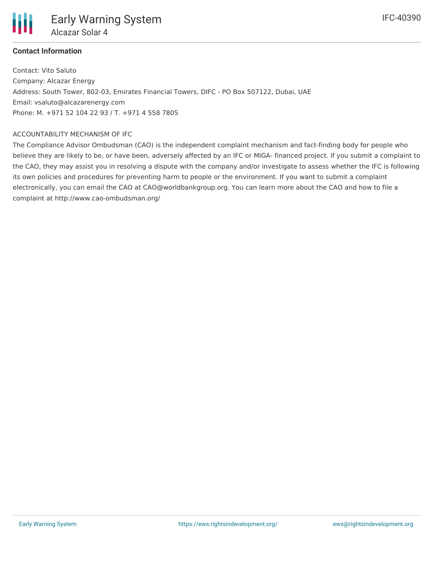

## **Contact Information**

Contact: Vito Saluto Company: Alcazar Energy Address: South Tower, 802-03, Emirates Financial Towers, DIFC - PO Box 507122, Dubai, UAE Email: vsaluto@alcazarenergy.com Phone: M. +971 52 104 22 93 / T. +971 4 558 7805

#### ACCOUNTABILITY MECHANISM OF IFC

The Compliance Advisor Ombudsman (CAO) is the independent complaint mechanism and fact-finding body for people who believe they are likely to be, or have been, adversely affected by an IFC or MIGA- financed project. If you submit a complaint to the CAO, they may assist you in resolving a dispute with the company and/or investigate to assess whether the IFC is following its own policies and procedures for preventing harm to people or the environment. If you want to submit a complaint electronically, you can email the CAO at CAO@worldbankgroup.org. You can learn more about the CAO and how to file a complaint at http://www.cao-ombudsman.org/